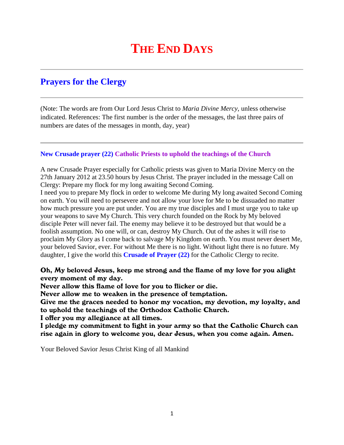# **THE END DAYS**

# **Prayers for the Clergy**

(Note: The words are from Our Lord Jesus Christ to *Maria Divine Mercy*, unless otherwise indicated. References: The first number is the order of the messages, the last three pairs of numbers are dates of the messages in month, day, year)

# **New Crusade prayer (22) Catholic Priests to uphold the teachings of the Church**

A new Crusade Prayer especially for Catholic priests was given to Maria Divine Mercy on the 27th January 2012 at 23.50 hours by Jesus Christ. The prayer included in the message Call on Clergy: Prepare my flock for my long awaiting Second Coming.

I need you to prepare My flock in order to welcome Me during My long awaited Second Coming on earth. You will need to persevere and not allow your love for Me to be dissuaded no matter how much pressure you are put under. You are my true disciples and I must urge you to take up your weapons to save My Church. This very church founded on the Rock by My beloved disciple Peter will never fail. The enemy may believe it to be destroyed but that would be a foolish assumption. No one will, or can, destroy My Church. Out of the ashes it will rise to proclaim My Glory as I come back to salvage My Kingdom on earth. You must never desert Me, your beloved Savior, ever. For without Me there is no light. Without light there is no future. My daughter, I give the world this **Crusade of Prayer (22)** for the Catholic Clergy to recite.

# Oh, My beloved Jesus, keep me strong and the flame of my love for you alight every moment of my day.

Never allow this flame of love for you to flicker or die.

Never allow me to weaken in the presence of temptation.

Give me the graces needed to honor my vocation, my devotion, my loyalty, and to uphold the teachings of the Orthodox Catholic Church.

I offer you my allegiance at all times.

I pledge my commitment to fight in your army so that the Catholic Church can rise again in glory to welcome you, dear Jesus, when you come again. Amen.

Your Beloved Savior Jesus Christ King of all Mankind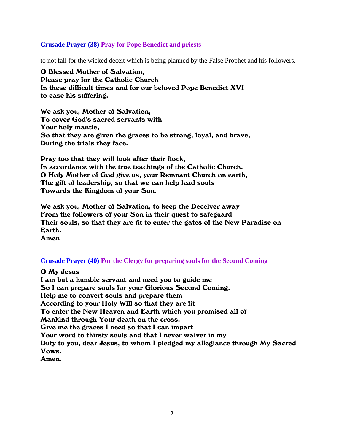#### **Crusade Prayer (38) Pray for Pope Benedict and priests**

to not fall for the wicked deceit which is being planned by the False Prophet and his followers.

O Blessed Mother of Salvation, Please pray for the Catholic Church In these difficult times and for our beloved Pope Benedict XVI to ease his suffering.

We ask you, Mother of Salvation, To cover God's sacred servants with Your holy mantle, So that they are given the graces to be strong, loyal, and brave, During the trials they face.

Pray too that they will look after their flock, In accordance with the true teachings of the Catholic Church. O Holy Mother of God give us, your Remnant Church on earth, The gift of leadership, so that we can help lead souls Towards the Kingdom of your Son.

We ask you, Mother of Salvation, to keep the Deceiver away From the followers of your Son in their quest to safeguard Their souls, so that they are fit to enter the gates of the New Paradise on Earth. Amen

# **Crusade Prayer (40) For the Clergy for preparing souls for the Second Coming**

O My Jesus

I am but a humble servant and need you to guide me So I can prepare souls for your Glorious Second Coming. Help me to convert souls and prepare them According to your Holy Will so that they are fit To enter the New Heaven and Earth which you promised all of Mankind through Your death on the cross. Give me the graces I need so that I can impart Your word to thirsty souls and that I never waiver in my Duty to you, dear Jesus, to whom I pledged my allegiance through My Sacred Vows. Amen.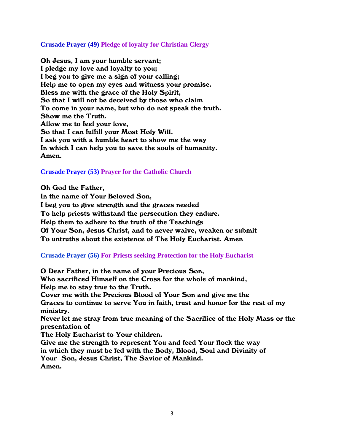#### **Crusade Prayer (49) Pledge of loyalty for Christian Clergy**

Oh Jesus, I am your humble servant; I pledge my love and loyalty to you; I beg you to give me a sign of your calling; Help me to open my eyes and witness your promise. Bless me with the grace of the Holy Spirit, So that I will not be deceived by those who claim To come in your name, but who do not speak the truth. Show me the Truth. Allow me to feel your love, So that I can fulfill your Most Holy Will. I ask you with a humble heart to show me the way In which I can help you to save the souls of humanity. Amen.

# **Crusade Prayer (53) Prayer for the Catholic Church**

Oh God the Father,

In the name of Your Beloved Son, I beg you to give strength and the graces needed To help priests withstand the persecution they endure. Help them to adhere to the truth of the Teachings Of Your Son, Jesus Christ, and to never waive, weaken or submit To untruths about the existence of The Holy Eucharist. Amen

# **Crusade Prayer (56) For Priests seeking Protection for the Holy Eucharist**

O Dear Father, in the name of your Precious Son, Who sacrificed Himself on the Cross for the whole of mankind, Help me to stay true to the Truth. Cover me with the Precious Blood of Your Son and give me the Graces to continue to serve You in faith, trust and honor for the rest of my ministry. Never let me stray from true meaning of the Sacrifice of the Holy Mass or the presentation of The Holy Eucharist to Your children. Give me the strength to represent You and feed Your flock the way in which they must be fed with the Body, Blood, Soul and Divinity of Your Son, Jesus Christ, The Savior of Mankind. Amen.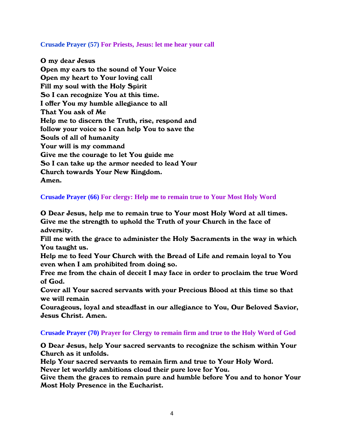#### **Crusade Prayer (57) For Priests, Jesus: let me hear your call**

O my dear Jesus Open my ears to the sound of Your Voice Open my heart to Your loving call Fill my soul with the Holy Spirit So I can recognize You at this time. I offer You my humble allegiance to all That You ask of Me Help me to discern the Truth, rise, respond and follow your voice so I can help You to save the Souls of all of humanity Your will is my command Give me the courage to let You guide me So I can take up the armor needed to lead Your Church towards Your New Kingdom. Amen.

**Crusade Prayer (66) For clergy: Help me to remain true to Your Most Holy Word**

O Dear Jesus, help me to remain true to Your most Holy Word at all times. Give me the strength to uphold the Truth of your Church in the face of adversity.

Fill me with the grace to administer the Holy Sacraments in the way in which You taught us.

Help me to feed Your Church with the Bread of Life and remain loyal to You even when I am prohibited from doing so.

Free me from the chain of deceit I may face in order to proclaim the true Word of God.

Cover all Your sacred servants with your Precious Blood at this time so that we will remain

Courageous, loyal and steadfast in our allegiance to You, Our Beloved Savior, Jesus Christ. Amen.

# **Crusade Prayer (70) Prayer for Clergy to remain firm and true to the Holy Word of God**

O Dear Jesus, help Your sacred servants to recognize the schism within Your Church as it unfolds.

Help Your sacred servants to remain firm and true to Your Holy Word.

Never let worldly ambitions cloud their pure love for You.

Give them the graces to remain pure and humble before You and to honor Your Most Holy Presence in the Eucharist.